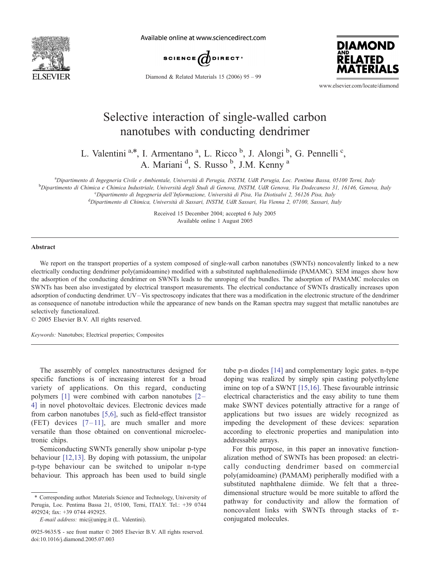

Available online at www.sciencedirect.com



Diamond & Related Materials 15 (2006) 95 – 99



www.elsevier.com/locate/diamond

## Selective interaction of single-walled carbon nanotubes with conducting dendrimer

L. Valentini<sup>a,\*</sup>, I. Armentano<sup>a</sup>, L. Ricco<sup>b</sup>, J. Alongi<sup>b</sup>, G. Pennelli<sup>c</sup>, A. Mariani<sup>d</sup>, S. Russo<sup>b</sup>, J.M. Kenny<sup>a</sup>

a Dipartimento di Ingegneria Civile e Ambientale, Universita` di Perugia, INSTM, UdR Perugia, Loc. Pentima Bassa, 05100 Terni, Italy <sup>b</sup>Dipartimento di Chimica e Chimica Industriale, Università degli Studi di Genova, INSTM, UdR Genova, Via Dodecaneso 31, 16146, Genova, Italy<br><sup>6</sup>Dipartimento di Chimica in Inggramato di Inggramaziona, Ilpiyanziona, Ilpiya

 $\degree$ Dipartimento di Ingegneria dell'Informazione, Università di Pisa, Via Diotisalvi 2, 56126 Pisa, Italy <sup>d</sup>Dipartimento di Chimica, Università di Sassari, INSTM, UdR Sassari, Via Vienna 2, 07100, Sassari, Italy

> Received 15 December 2004; accepted 6 July 2005 Available online 1 August 2005

## Abstract

We report on the transport properties of a system composed of single-wall carbon nanotubes (SWNTs) noncovalently linked to a new electrically conducting dendrimer poly(amidoamine) modified with a substituted naphthalenediimide (PAMAMC). SEM images show how the adsorption of the conducting dendrimer on SWNTs leads to the unroping of the bundles. The adsorption of PAMAMC molecules on SWNTs has been also investigated by electrical transport measurements. The electrical conductance of SWNTs drastically increases upon adsorption of conducting dendrimer. UV –Vis spectroscopy indicates that there was a modification in the electronic structure of the dendrimer as consequence of nanotube introduction while the appearance of new bands on the Raman spectra may suggest that metallic nanotubes are selectively functionalized.

 $\odot$  2005 Elsevier B.V. All rights reserved.

Keywords: Nanotubes; Electrical properties; Composites

The assembly of complex nanostructures designed for specific functions is of increasing interest for a broad variety of applications. On this regard, conducting polymers  $[1]$  were combined with carbon nanotubes  $[2 -$ 4] in novel photovoltaic devices. Electronic devices made from carbon nanotubes [\[5,6\],](#page-3-0) such as field-effect transistor (FET) devices  $[7-11]$ , are much smaller and more versatile than those obtained on conventional microelectronic chips.

Semiconducting SWNTs generally show unipolar p-type behaviour [\[12,13\].](#page-3-0) By doping with potassium, the unipolar p-type behaviour can be switched to unipolar n-type behaviour. This approach has been used to build single tube p-n diodes [\[14\]](#page-3-0) and complementary logic gates. n-type doping was realized by simply spin casting polyethylene imine on top of a SWNT [\[15,16\].](#page-3-0) These favourable intrinsic electrical characteristics and the easy ability to tune them make SWNT devices potentially attractive for a range of applications but two issues are widely recognized as impeding the development of these devices: separation according to electronic properties and manipulation into addressable arrays.

For this purpose, in this paper an innovative functionalization method of SWNTs has been proposed: an electrically conducting dendrimer based on commercial poly(amidoamine) (PAMAM) peripherally modified with a substituted naphthalene diimide. We felt that a threedimensional structure would be more suitable to afford the pathway for conductivity and allow the formation of noncovalent links with SWNTs through stacks of  $\pi$ conjugated molecules.

<sup>\*</sup> Corresponding author. Materials Science and Technology, University of Perugia, Loc. Pentima Bassa 21, 05100, Terni, ITALY. Tel.: +39 0744 492924; fax: +39 0744 492925.

E-mail address: mic@unipg.it (L. Valentini).

<sup>0925-9635/\$ -</sup> see front matter © 2005 Elsevier B.V. All rights reserved. doi:10.1016/j.diamond.2005.07.003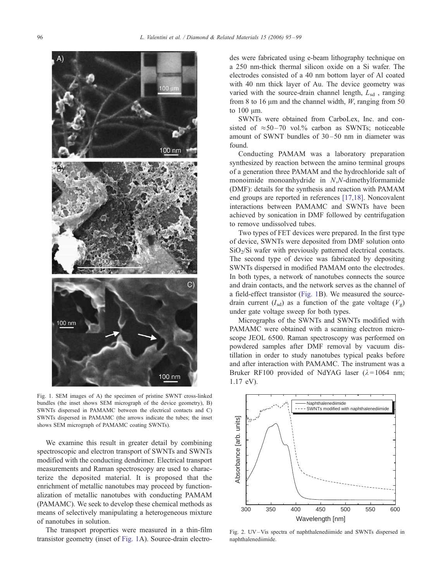<span id="page-1-0"></span>

Fig. 1. SEM images of A) the specimen of pristine SWNT cross-linked bundles (the inset shows SEM micrograph of the device geometry), B) SWNTs dispersed in PAMAMC between the electrical contacts and C) SWNTs dispersed in PAMAMC (the arrows indicate the tubes; the inset shows SEM micrograph of PAMAMC coating SWNTs).

We examine this result in greater detail by combining spectroscopic and electron transport of SWNTs and SWNTs modified with the conducting dendrimer. Electrical transport measurements and Raman spectroscopy are used to characterize the deposited material. It is proposed that the enrichment of metallic nanotubes may proceed by functionalization of metallic nanotubes with conducting PAMAM (PAMAMC). We seek to develop these chemical methods as means of selectively manipulating a heterogeneous mixture of nanotubes in solution.

The transport properties were measured in a thin-film transistor geometry (inset of Fig. 1A). Source-drain electrodes were fabricated using e-beam lithography technique on a 250 nm-thick thermal silicon oxide on a Si wafer. The electrodes consisted of a 40 nm bottom layer of Al coated with 40 nm thick layer of Au. The device geometry was varied with the source-drain channel length,  $L_{sd}$ , ranging from 8 to 16  $\mu$ m and the channel width, *W*, ranging from 50 to  $100 \text{ nm}$ .

SWNTs were obtained from CarboLex, Inc. and consisted of  $\approx 50 - 70$  vol.% carbon as SWNTs; noticeable amount of SWNT bundles of  $30-50$  nm in diameter was found.

Conducting PAMAM was a laboratory preparation synthesized by reaction between the amino terminal groups of a generation three PAMAM and the hydrochloride salt of monoimide monoanhydride in N,N-dimethylformamide (DMF): details for the synthesis and reaction with PAMAM end groups are reported in references [\[17,18\].](#page-3-0) Noncovalent interactions between PAMAMC and SWNTs have been achieved by sonication in DMF followed by centrifugation to remove undissolved tubes.

Two types of FET devices were prepared. In the first type of device, SWNTs were deposited from DMF solution onto SiO<sub>2</sub>/Si wafer with previously patterned electrical contacts. The second type of device was fabricated by depositing SWNTs dispersed in modified PAMAM onto the electrodes. In both types, a network of nanotubes connects the source and drain contacts, and the network serves as the channel of a field-effect transistor (Fig. 1B). We measured the sourcedrain current  $(I_{sd})$  as a function of the gate voltage  $(V_{\sigma})$ under gate voltage sweep for both types.

Micrographs of the SWNTs and SWNTs modified with PAMAMC were obtained with a scanning electron microscope JEOL 6500. Raman spectroscopy was performed on powdered samples after DMF removal by vacuum distillation in order to study nanotubes typical peaks before and after interaction with PAMAMC. The instrument was a Bruker RF100 provided of NdYAG laser  $(\lambda = 1064$  nm; 1.17 eV).



Fig. 2. UV –Vis spectra of naphthalenediimide and SWNTs dispersed in naphthalenediimide.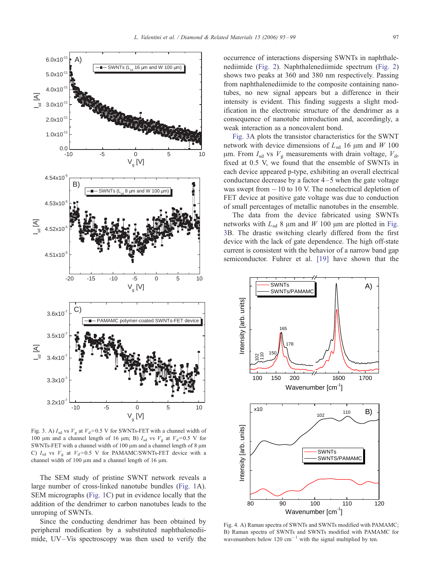<span id="page-2-0"></span>![](_page_2_Figure_2.jpeg)

Fig. 3. A)  $I_{sd}$  vs  $V_g$  at  $V_d$ = 0.5 V for SWNTs-FET with a channel width of 100  $\mu$ m and a channel length of 16  $\mu$ m; B)  $I_{sd}$  vs  $V_g$  at  $V_d$ = 0.5 V for SWNTs-FET with a channel width of 100  $\mu$ m and a channel length of 8  $\mu$ m C)  $I_{sd}$  vs  $V_g$  at  $V_d$ = 0.5 V for PAMAMC/SWNTs-FET device with a channel width of 100  $\mu$ m and a channel length of 16  $\mu$ m.

The SEM study of pristine SWNT network reveals a large number of cross-linked nanotube bundles ([Fig. 1A](#page-1-0)). SEM micrographs ([Fig. 1C](#page-1-0)) put in evidence locally that the addition of the dendrimer to carbon nanotubes leads to the unroping of SWNTs.

Since the conducting dendrimer has been obtained by peripheral modification by a substituted naphthalenediimide, UV –Vis spectroscopy was then used to verify the

occurrence of interactions dispersing SWNTs in naphthalenediimide ([Fig. 2\)](#page-1-0). Naphthalenediimide spectrum ([Fig. 2\)](#page-1-0) shows two peaks at 360 and 380 nm respectively. Passing from naphthalenediimide to the composite containing nanotubes, no new signal appears but a difference in their intensity is evident. This finding suggests a slight modification in the electronic structure of the dendrimer as a consequence of nanotube introduction and, accordingly, a weak interaction as a noncovalent bond.

Fig. 3A plots the transistor characteristics for the SWNT network with device dimensions of  $L_{sd}$  16  $\mu$ m and W 100  $\mu$ m. From  $I_{sd}$  vs  $V_g$  measurements with drain voltage,  $V_{ds}$ fixed at 0.5 V, we found that the ensemble of SWNTs in each device appeared p-type, exhibiting an overall electrical conductance decrease by a factor  $4-5$  when the gate voltage was swept from  $-10$  to 10 V. The nonelectrical depletion of FET device at positive gate voltage was due to conduction of small percentages of metallic nanotubes in the ensemble.

The data from the device fabricated using SWNTs networks with  $L_{sd}$  8  $\mu$ m and W 100  $\mu$ m are plotted in Fig. 3B. The drastic switching clearly differed from the first device with the lack of gate dependence. The high off-state current is consistent with the behavior of a narrow band gap semiconductor. Fuhrer et al. [\[19\]](#page-4-0) have shown that the

![](_page_2_Figure_9.jpeg)

Fig. 4. A) Raman spectra of SWNTs and SWNTs modified with PAMAMC; B) Raman spectra of SWNTs and SWNTs modified with PAMAMC for wavenumbers below 120 cm<sup>-1</sup> with the signal multiplied by ten.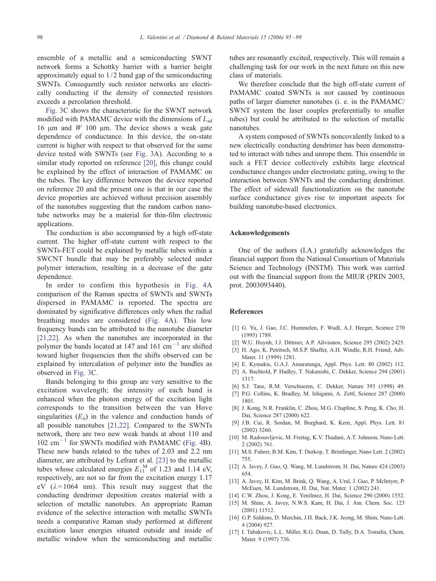<span id="page-3-0"></span>ensemble of a metallic and a semiconducting SWNT network forms a Schottky barrier with a barrier height approximately equal to  $1/2$  band gap of the semiconducting SWNTs. Consequently such resistor networks are electrically conducting if the density of connected resistors exceeds a percolation threshold.

[Fig. 3C](#page-2-0) shows the characteristic for the SWNT network modified with PAMAMC device with the dimensions of  $L_{sd}$ 16  $\mu$ m and *W* 100  $\mu$ m. The device shows a weak gate dependence of conductance. In this device, the on-state current is higher with respect to that observed for the same device tested with SWNTs (see [Fig. 3A](#page-2-0)). According to a similar study reported on reference [\[20\],](#page-4-0) this change could be explained by the effect of interaction of PAMAMC on the tubes. The key difference between the device reported on reference 20 and the present one is that in our case the device properties are achieved without precision assembly of the nanotubes suggesting that the random carbon nanotube networks may be a material for thin-film electronic applications.

The conduction is also accompanied by a high off-state current. The higher off-state current with respect to the SWNTs-FET could be explained by metallic tubes within a SWCNT bundle that may be preferably selected under polymer interaction, resulting in a decrease of the gate dependence.

In order to confirm this hypothesis in [Fig. 4A](#page-2-0) comparison of the Raman spectra of SWNTs and SWNTs dispersed in PAMAMC is reported. The spectra are dominated by significative differences only when the radial breathing modes are considered ([Fig. 4A](#page-2-0)). This low frequency bands can be attributed to the nanotube diameter [\[21,22\].](#page-4-0) As when the nanotubes are incorporated in the polymer the bands located at 147 and 161  $cm^{-1}$  are shifted toward higher frequencies then the shifts observed can be explained by intercalation of polymer into the bundles as observed in [Fig. 3C](#page-2-0).

Bands belonging to this group are very sensitive to the excitation wavelength; the intensity of each band is enhanced when the photon energy of the excitation light corresponds to the transition between the van Hove singularities  $(E_{ii})$  in the valence and conduction bands of all possible nanotubes [\[21,22\].](#page-4-0) Compared to the SWNTs network, there are two new weak bands at about 110 and  $102 \text{ cm}^{-1}$  for SWNTs modified with PAMAMC ([Fig. 4B](#page-2-0)). These new bands related to the tubes of 2.03 and 2.2 nm diameter, are attributed by Lefrant et al. [\[23\]](#page-4-0) to the metallic tubes whose calculated energies  $E_{11}^{\ M}$  of 1.23 and 1.14 eV, respectively, are not so far from the excitation energy 1.17 eV ( $\lambda$ =1064 nm). This result may suggest that the conducting dendrimer deposition creates material with a selection of metallic nanotubes. An appropriate Raman evidence of the selective interaction with metallic SWNTs needs a comparative Raman study performed at different excitation laser energies situated outside and inside of metallic window when the semiconducting and metallic

tubes are resonantly excited, respectively. This will remain a challenging task for our work in the next future on this new class of materials.

We therefore conclude that the high off-state current of PAMAMC coated SWNTs is not caused by continuous paths of larger diameter nanotubes (i. e. in the PAMAMC/ SWNT system the laser couples preferentially to smaller tubes) but could be attributed to the selection of metallic nanotubes.

A system composed of SWNTs noncovalently linked to a new electrically conducting dendrimer has been demonstrated to interact with tubes and unrope them. This ensemble in such a FET device collectively exhibits large electrical conductance changes under electrostatic gating, owing to the interaction between SWNTs and the conducting dendrimer. The effect of sidewall functionalization on the nanotube surface conductance gives rise to important aspects for building nanotube-based electronics.

## Acknowledgements

One of the authors (I.A.) gratefully acknowledges the financial support from the National Consortium of Materials Science and Technology (INSTM). This work was carried out with the financial support from the MIUR (PRIN 2003, prot. 2003093440).

## References

- [1] G. Yu, J. Gao, J.C. Hummelen, F. Wudl, A.J. Heeger, Science 270 (1995) 1789.
- [2] W.U. Huynh, J.J. Dittmer, A.P. Alivisatos, Science 295 (2002) 2425.
- [3] H. Ago, K. Petritsch, M.S.P. Shaffer, A.H. Windle, R.H. Friend, Adv.
- Mater. 11 (1999) 1281. [4] E. Kymakis, G.A.J. Amaratunga, Appl. Phys. Lett. 80 (2002) 112.
- [5] A. Bachtold, P. Hadley, T. Nakanishi, C. Dekker, Science 294 (2001) 1317.
- [6] S.J. Tans, R.M. Verschueren, C. Dekker, Nature 393 (1998) 49.
- [7] P.G. Collins, K. Bradley, M. Ishigami, A. Zettl, Science 287 (2000) 1801.
- [8] J. Kong, N.R. Franklin, C. Zhou, M.G. Chapline, S. Peng, K. Cho, H. Dai, Science 287 (2000) 622.
- [9] J.B. Cui, R. Sordan, M. Burghard, K. Kern, Appl. Phys. Lett. 81 (2002) 3260.
- [10] M. Radosavljevic, M. Freitag, K.V. Thadani, A.T. Johnson, Nano Lett. 2 (2002) 761.
- [11] M.S. Fuhrer, B.M. Kim, T. Durkop, T. Brintlinger, Nano Lett. 2 (2002) 755.
- [12] A. Javey, J. Guo, Q. Wang, M. Lundstrom, H. Dai, Nature 424 (2003) 654.
- [13] A. Javey, H. Kim, M. Brink, Q. Wang, A. Ural, J. Guo, P. McIntyre, P. McEuen, M. Lundstrom, H. Dai, Nat. Mater. 1 (2002) 241.
- [14] C.W. Zhou, J. Kong, E. Yenilmez, H. Dai, Science 290 (2000) 1552.
- [15] M. Shim, A. Javey, N.W.S. Kam, H. Dai, J. Am. Chem. Soc. 123 (2001) 11512.
- [16] G.P. Siddons, D. Merchin, J.H. Back, J.K. Jeong, M. Shim, Nano Lett. 4 (2004) 927.
- [17] I. Tabakovic, L.L. Miller, R.G. Duan, D. Tully, D.A. Tomalia, Chem. Mater. 9 (1997) 736.